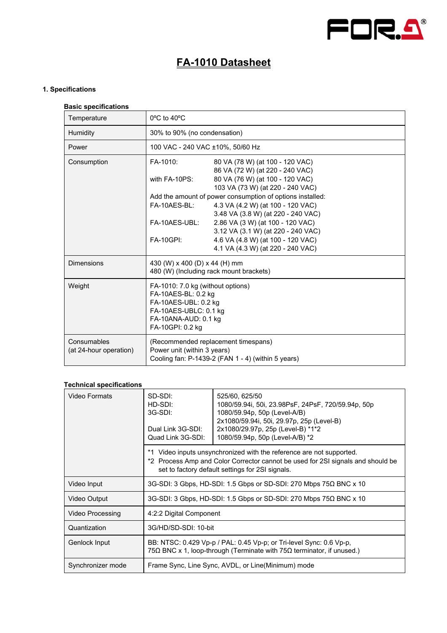

# **FA-1010 Datasheet**

## **1. Specifications**

#### **Basic specifications**

| Temperature                           | 0°C to 40°C                                                                                                                                           |                                                                         |
|---------------------------------------|-------------------------------------------------------------------------------------------------------------------------------------------------------|-------------------------------------------------------------------------|
| Humidity                              | 30% to 90% (no condensation)                                                                                                                          |                                                                         |
| Power                                 | 100 VAC - 240 VAC ±10%, 50/60 Hz                                                                                                                      |                                                                         |
| Consumption                           | FA-1010:                                                                                                                                              | 80 VA (78 W) (at 100 - 120 VAC)<br>86 VA (72 W) (at 220 - 240 VAC)      |
|                                       | with FA-10PS:                                                                                                                                         | 80 VA (76 W) (at 100 - 120 VAC)<br>103 VA (73 W) (at 220 - 240 VAC)     |
|                                       | Add the amount of power consumption of options installed:                                                                                             |                                                                         |
|                                       | FA-10AES-BL:                                                                                                                                          | 4.3 VA (4.2 W) (at 100 - 120 VAC)<br>3.48 VA (3.8 W) (at 220 - 240 VAC) |
|                                       | FA-10AES-UBL:                                                                                                                                         | 2.86 VA (3 W) (at 100 - 120 VAC)<br>3.12 VA (3.1 W) (at 220 - 240 VAC)  |
|                                       | <b>FA-10GPI:</b>                                                                                                                                      | 4.6 VA (4.8 W) (at 100 - 120 VAC)<br>4.1 VA (4.3 W) (at 220 - 240 VAC)  |
| <b>Dimensions</b>                     | 430 (W) x 400 (D) x 44 (H) mm<br>480 (W) (Including rack mount brackets)                                                                              |                                                                         |
| Weight                                | FA-1010: 7.0 kg (without options)<br>FA-10AES-BL: 0.2 kg<br>FA-10AES-UBL: 0.2 kg<br>FA-10AES-UBLC: 0.1 kg<br>FA-10ANA-AUD: 0.1 kg<br>FA-10GPI: 0.2 kg |                                                                         |
| Consumables<br>(at 24-hour operation) | (Recommended replacement timespans)<br>Power unit (within 3 years)<br>Cooling fan: P-1439-2 (FAN 1 - 4) (within 5 years)                              |                                                                         |

## **Technical specifications**

| Video Formats           | SD-SDI:<br>HD-SDI:<br>3G-SDI:<br>Dual Link 3G-SDI:<br>Quad Link 3G-SDI:                                                                        | 525/60, 625/50<br>1080/59.94i, 50i, 23.98PsF, 24PsF, 720/59.94p, 50p<br>1080/59.94p, 50p (Level-A/B)<br>2x1080/59.94i, 50i, 29.97p, 25p (Level-B)<br>2x1080/29.97p, 25p (Level-B) *1*2<br>1080/59.94p, 50p (Level-A/B) *2 |
|-------------------------|------------------------------------------------------------------------------------------------------------------------------------------------|---------------------------------------------------------------------------------------------------------------------------------------------------------------------------------------------------------------------------|
|                         |                                                                                                                                                | *1 Video inputs unsynchronized with the reference are not supported.<br>*2 Process Amp and Color Corrector cannot be used for 2SI signals and should be<br>set to factory default settings for 2SI signals.               |
| Video Input             |                                                                                                                                                | 3G-SDI: 3 Gbps, HD-SDI: 1.5 Gbps or SD-SDI: 270 Mbps $75\Omega$ BNC x 10                                                                                                                                                  |
| Video Output            |                                                                                                                                                | 3G-SDI: 3 Gbps, HD-SDI: 1.5 Gbps or SD-SDI: 270 Mbps $75\Omega$ BNC x 10                                                                                                                                                  |
| <b>Video Processing</b> | 4:2:2 Digital Component                                                                                                                        |                                                                                                                                                                                                                           |
| Quantization            | 3G/HD/SD-SDI: 10-bit                                                                                                                           |                                                                                                                                                                                                                           |
| Genlock Input           | BB: NTSC: 0.429 Vp-p / PAL: 0.45 Vp-p; or Tri-level Sync: 0.6 Vp-p,<br>75Ω BNC x 1, loop-through (Terminate with $75Ω$ terminator, if unused.) |                                                                                                                                                                                                                           |
| Synchronizer mode       |                                                                                                                                                | Frame Sync, Line Sync, AVDL, or Line(Minimum) mode                                                                                                                                                                        |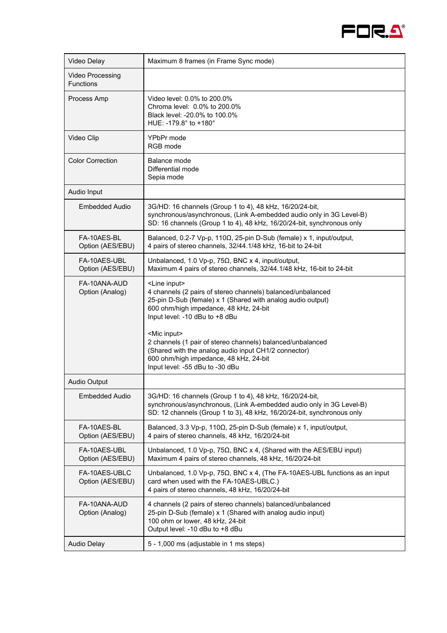

| Video Delay                          | Maximum 8 frames (in Frame Sync mode)                                                                                                                                                                                                |  |
|--------------------------------------|--------------------------------------------------------------------------------------------------------------------------------------------------------------------------------------------------------------------------------------|--|
| Video Processing<br><b>Functions</b> |                                                                                                                                                                                                                                      |  |
| Process Amp                          | Video level: 0.0% to 200.0%<br>Chroma level: 0.0% to 200.0%<br>Black level: -20.0% to 100.0%<br>HUE: -179.8° to +180°                                                                                                                |  |
| Video Clip                           | YPbPr mode<br>RGB mode                                                                                                                                                                                                               |  |
| <b>Color Correction</b>              | Balance mode<br>Differential mode<br>Sepia mode                                                                                                                                                                                      |  |
| Audio Input                          |                                                                                                                                                                                                                                      |  |
| Embedded Audio                       | 3G/HD: 16 channels (Group 1 to 4), 48 kHz, 16/20/24-bit,<br>synchronous/asynchronous, (Link A-embedded audio only in 3G Level-B)<br>SD: 16 channels (Group 1 to 4), 48 kHz, 16/20/24-bit, synchronous only                           |  |
| FA-10AES-BL<br>Option (AES/EBU)      | Balanced, 0.2-7 Vp-p, 110 $\Omega$ , 25-pin D-Sub (female) x 1, input/output,<br>4 pairs of stereo channels, 32/44.1/48 kHz, 16-bit to 24-bit                                                                                        |  |
| FA-10AFS-UBL<br>Option (AES/EBU)     | Unbalanced, 1.0 Vp-p, 75 $\Omega$ , BNC x 4, input/output,<br>Maximum 4 pairs of stereo channels, 32/44.1/48 kHz, 16-bit to 24-bit                                                                                                   |  |
| FA-10ANA-AUD<br>Option (Analog)      | <line input=""><br/>4 channels (2 pairs of stereo channels) balanced/unbalanced<br/>25-pin D-Sub (female) x 1 (Shared with analog audio output)<br/>600 ohm/high impedance, 48 kHz, 24-bit<br/>Input level: -10 dBu to +8 dBu</line> |  |
|                                      | <mic input=""><br/>2 channels (1 pair of stereo channels) balanced/unbalanced<br/>(Shared with the analog audio input CH1/2 connector)<br/>600 ohm/high impedance, 48 kHz, 24-bit<br/>Input level: -55 dBu to -30 dBu</mic>          |  |
| Audio Output                         |                                                                                                                                                                                                                                      |  |
| <b>Embedded Audio</b>                | 3G/HD: 16 channels (Group 1 to 4), 48 kHz, 16/20/24-bit,<br>synchronous/asynchronous, (Link A-embedded audio only in 3G Level-B)<br>SD: 12 channels (Group 1 to 3), 48 kHz, 16/20/24-bit, synchronous only                           |  |
| FA-10AES-BL<br>Option (AES/EBU)      | Balanced, 3.3 Vp-p, 110Ω, 25-pin D-Sub (female) x 1, input/output,<br>4 pairs of stereo channels, 48 kHz, 16/20/24-bit                                                                                                               |  |
| FA-10AES-UBL<br>Option (AES/EBU)     | Unbalanced, 1.0 Vp-p, 75 $\Omega$ , BNC x 4, (Shared with the AES/EBU input)<br>Maximum 4 pairs of stereo channels, 48 kHz, 16/20/24-bit                                                                                             |  |
| FA-10AES-UBLC<br>Option (AES/EBU)    | Unbalanced, 1.0 Vp-p, 75 $\Omega$ , BNC x 4, (The FA-10AES-UBL functions as an input<br>card when used with the FA-10AES-UBLC.)<br>4 pairs of stereo channels, 48 kHz, 16/20/24-bit                                                  |  |
| FA-10ANA-AUD<br>Option (Analog)      | 4 channels (2 pairs of stereo channels) balanced/unbalanced<br>25-pin D-Sub (female) x 1 (Shared with analog audio input)<br>100 ohm or lower, 48 kHz, 24-bit<br>Output level: -10 dBu to +8 dBu                                     |  |
| <b>Audio Delay</b>                   | 5 - 1,000 ms (adjustable in 1 ms steps)                                                                                                                                                                                              |  |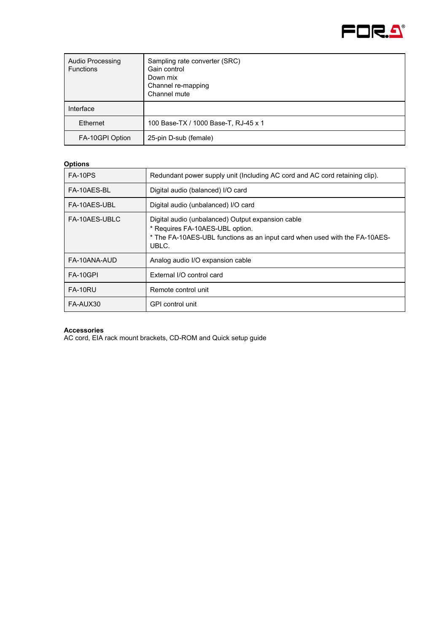

| <b>Audio Processing</b><br><b>Functions</b> | Sampling rate converter (SRC)<br>Gain control<br>Down mix<br>Channel re-mapping<br>Channel mute |
|---------------------------------------------|-------------------------------------------------------------------------------------------------|
| Interface                                   |                                                                                                 |
| Ethernet                                    | 100 Base-TX / 1000 Base-T, RJ-45 x 1                                                            |
| FA-10GPI Option                             | 25-pin D-sub (female)                                                                           |

## **Options**

| <b>FA-10PS</b> | Redundant power supply unit (Including AC cord and AC cord retaining clip).                                                                                                 |
|----------------|-----------------------------------------------------------------------------------------------------------------------------------------------------------------------------|
| FA-10AES-BL    | Digital audio (balanced) I/O card                                                                                                                                           |
| FA-10AES-UBL   | Digital audio (unbalanced) I/O card                                                                                                                                         |
| FA-10AES-UBLC  | Digital audio (unbalanced) Output expansion cable<br>* Requires FA-10AES-UBL option.<br>* The FA-10AES-UBL functions as an input card when used with the FA-10AES-<br>UBLC. |
| FA-10ANA-AUD   | Analog audio I/O expansion cable                                                                                                                                            |
| FA-10GPI       | External I/O control card                                                                                                                                                   |
| FA-10RU        | Remote control unit                                                                                                                                                         |
| FA-AUX30       | GPI control unit                                                                                                                                                            |

#### **Accessories**

AC cord, EIA rack mount brackets, CD-ROM and Quick setup guide